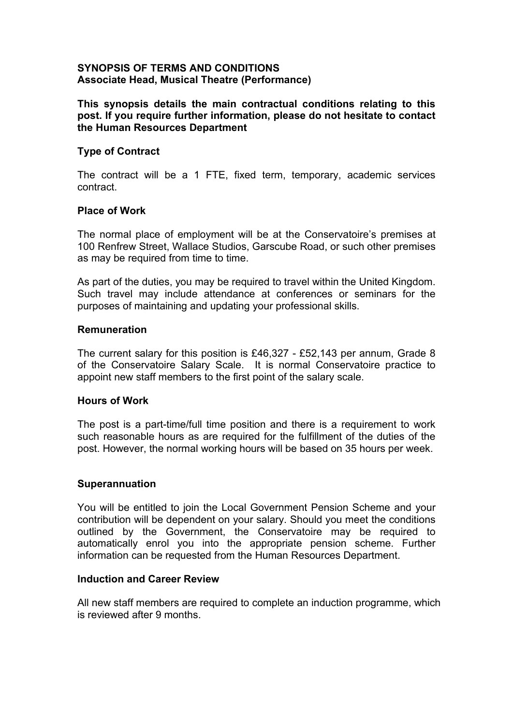# **SYNOPSIS OF TERMS AND CONDITIONS Associate Head, Musical Theatre (Performance)**

**This synopsis details the main contractual conditions relating to this post. If you require further information, please do not hesitate to contact the Human Resources Department**

# **Type of Contract**

The contract will be a 1 FTE, fixed term, temporary, academic services contract.

## **Place of Work**

The normal place of employment will be at the Conservatoire's premises at 100 Renfrew Street, Wallace Studios, Garscube Road, or such other premises as may be required from time to time.

As part of the duties, you may be required to travel within the United Kingdom. Such travel may include attendance at conferences or seminars for the purposes of maintaining and updating your professional skills.

### **Remuneration**

The current salary for this position is £46,327 - £52,143 per annum, Grade 8 of the Conservatoire Salary Scale. It is normal Conservatoire practice to appoint new staff members to the first point of the salary scale.

### **Hours of Work**

The post is a part-time/full time position and there is a requirement to work such reasonable hours as are required for the fulfillment of the duties of the post. However, the normal working hours will be based on 35 hours per week.

### **Superannuation**

You will be entitled to join the Local Government Pension Scheme and your contribution will be dependent on your salary. Should you meet the conditions outlined by the Government, the Conservatoire may be required to automatically enrol you into the appropriate pension scheme. Further information can be requested from the Human Resources Department.

## **Induction and Career Review**

All new staff members are required to complete an induction programme, which is reviewed after 9 months.